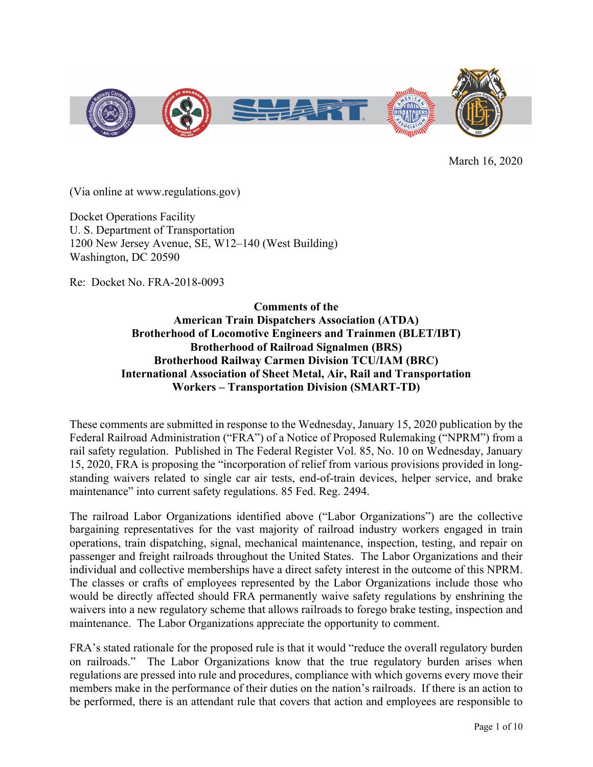

March 16, 2020

(Via online at www.regulations.gov)

Docket Operations Facility U. S. Department of Transportation 1200 New Jersey Avenue, SE, W12–140 (West Building) Washington, DC 20590

Re: Docket No. FRA-2018-0093

**Comments of the American Train Dispatchers Association (ATDA) Brotherhood of Locomotive Engineers and Trainmen (BLET/IBT) Brotherhood of Railroad Signalmen (BRS) Brotherhood Railway Carmen Division TCU/IAM (BRC) International Association of Sheet Metal, Air, Rail and Transportation Workers – Transportation Division (SMART-TD)**

These comments are submitted in response to the Wednesday, January 15, 2020 publication by the Federal Railroad Administration ("FRA") of a Notice of Proposed Rulemaking ("NPRM") from a rail safety regulation. Published in The Federal Register Vol. 85, No. 10 on Wednesday, January 15, 2020, FRA is proposing the "incorporation of relief from various provisions provided in longstanding waivers related to single car air tests, end-of-train devices, helper service, and brake maintenance" into current safety regulations. 85 Fed. Reg. 2494.

The railroad Labor Organizations identified above ("Labor Organizations") are the collective bargaining representatives for the vast majority of railroad industry workers engaged in train operations, train dispatching, signal, mechanical maintenance, inspection, testing, and repair on passenger and freight railroads throughout the United States. The Labor Organizations and their individual and collective memberships have a direct safety interest in the outcome of this NPRM. The classes or crafts of employees represented by the Labor Organizations include those who would be directly affected should FRA permanently waive safety regulations by enshrining the waivers into a new regulatory scheme that allows railroads to forego brake testing, inspection and maintenance. The Labor Organizations appreciate the opportunity to comment.

FRA's stated rationale for the proposed rule is that it would "reduce the overall regulatory burden on railroads." The Labor Organizations know that the true regulatory burden arises when regulations are pressed into rule and procedures, compliance with which governs every move their members make in the performance of their duties on the nation's railroads. If there is an action to be performed, there is an attendant rule that covers that action and employees are responsible to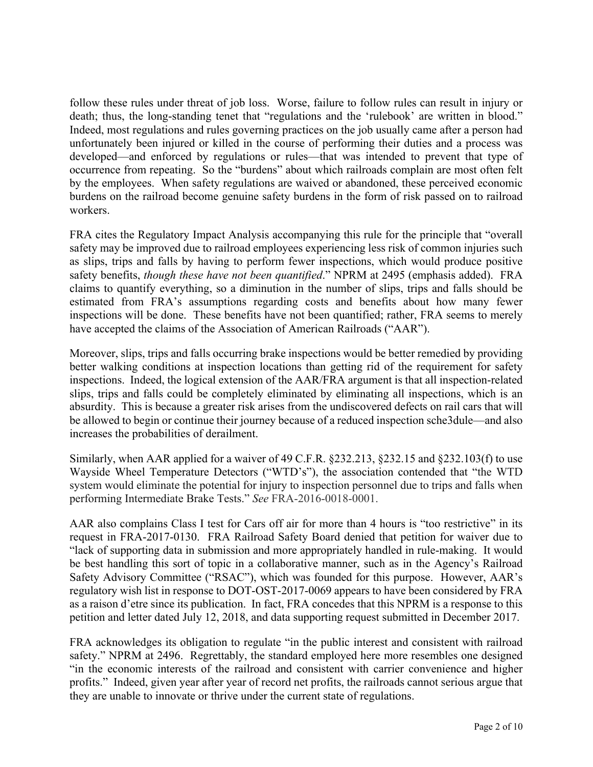follow these rules under threat of job loss. Worse, failure to follow rules can result in injury or death; thus, the long-standing tenet that "regulations and the 'rulebook' are written in blood." Indeed, most regulations and rules governing practices on the job usually came after a person had unfortunately been injured or killed in the course of performing their duties and a process was developed—and enforced by regulations or rules—that was intended to prevent that type of occurrence from repeating. So the "burdens" about which railroads complain are most often felt by the employees. When safety regulations are waived or abandoned, these perceived economic burdens on the railroad become genuine safety burdens in the form of risk passed on to railroad workers.

FRA cites the Regulatory Impact Analysis accompanying this rule for the principle that "overall safety may be improved due to railroad employees experiencing less risk of common injuries such as slips, trips and falls by having to perform fewer inspections, which would produce positive safety benefits, *though these have not been quantified*." NPRM at 2495 (emphasis added). FRA claims to quantify everything, so a diminution in the number of slips, trips and falls should be estimated from FRA's assumptions regarding costs and benefits about how many fewer inspections will be done. These benefits have not been quantified; rather, FRA seems to merely have accepted the claims of the Association of American Railroads ("AAR").

Moreover, slips, trips and falls occurring brake inspections would be better remedied by providing better walking conditions at inspection locations than getting rid of the requirement for safety inspections. Indeed, the logical extension of the AAR/FRA argument is that all inspection-related slips, trips and falls could be completely eliminated by eliminating all inspections, which is an absurdity. This is because a greater risk arises from the undiscovered defects on rail cars that will be allowed to begin or continue their journey because of a reduced inspection sche3dule—and also increases the probabilities of derailment.

Similarly, when AAR applied for a waiver of 49 C.F.R. §232.213, §232.15 and §232.103(f) to use Wayside Wheel Temperature Detectors ("WTD's"), the association contended that "the WTD system would eliminate the potential for injury to inspection personnel due to trips and falls when performing Intermediate Brake Tests." *See* FRA-2016-0018-0001.

AAR also complains Class I test for Cars off air for more than 4 hours is "too restrictive" in its request in FRA-2017-0130. FRA Railroad Safety Board denied that petition for waiver due to "lack of supporting data in submission and more appropriately handled in rule-making. It would be best handling this sort of topic in a collaborative manner, such as in the Agency's Railroad Safety Advisory Committee ("RSAC"), which was founded for this purpose. However, AAR's regulatory wish list in response to DOT-OST-2017-0069 appears to have been considered by FRA as a raison d'etre since its publication. In fact, FRA concedes that this NPRM is a response to this petition and letter dated July 12, 2018, and data supporting request submitted in December 2017.

FRA acknowledges its obligation to regulate "in the public interest and consistent with railroad safety." NPRM at 2496. Regrettably, the standard employed here more resembles one designed "in the economic interests of the railroad and consistent with carrier convenience and higher profits." Indeed, given year after year of record net profits, the railroads cannot serious argue that they are unable to innovate or thrive under the current state of regulations.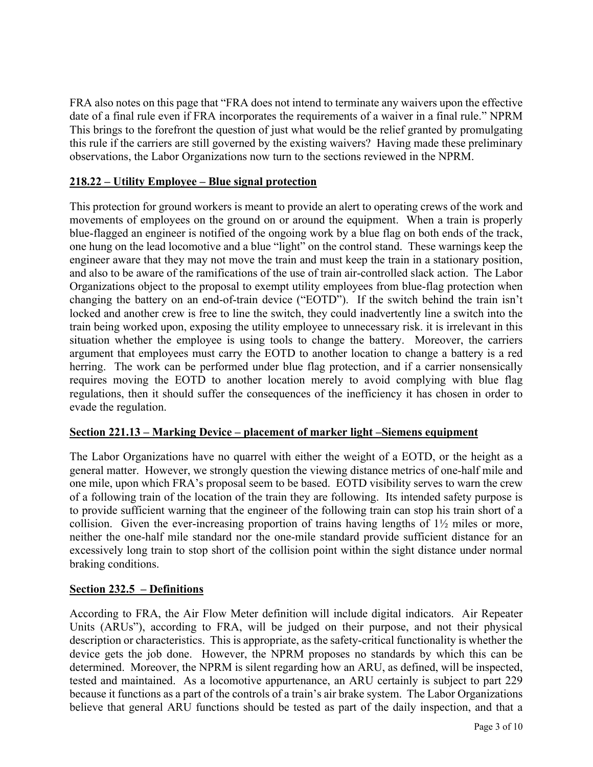FRA also notes on this page that "FRA does not intend to terminate any waivers upon the effective date of a final rule even if FRA incorporates the requirements of a waiver in a final rule." NPRM This brings to the forefront the question of just what would be the relief granted by promulgating this rule if the carriers are still governed by the existing waivers? Having made these preliminary observations, the Labor Organizations now turn to the sections reviewed in the NPRM.

# **218.22 – Utility Employee – Blue signal protection**

This protection for ground workers is meant to provide an alert to operating crews of the work and movements of employees on the ground on or around the equipment. When a train is properly blue-flagged an engineer is notified of the ongoing work by a blue flag on both ends of the track, one hung on the lead locomotive and a blue "light" on the control stand. These warnings keep the engineer aware that they may not move the train and must keep the train in a stationary position, and also to be aware of the ramifications of the use of train air-controlled slack action. The Labor Organizations object to the proposal to exempt utility employees from blue-flag protection when changing the battery on an end-of-train device ("EOTD"). If the switch behind the train isn't locked and another crew is free to line the switch, they could inadvertently line a switch into the train being worked upon, exposing the utility employee to unnecessary risk. it is irrelevant in this situation whether the employee is using tools to change the battery. Moreover, the carriers argument that employees must carry the EOTD to another location to change a battery is a red herring. The work can be performed under blue flag protection, and if a carrier nonsensically requires moving the EOTD to another location merely to avoid complying with blue flag regulations, then it should suffer the consequences of the inefficiency it has chosen in order to evade the regulation.

# **Section 221.13 – Marking Device – placement of marker light –Siemens equipment**

The Labor Organizations have no quarrel with either the weight of a EOTD, or the height as a general matter. However, we strongly question the viewing distance metrics of one-half mile and one mile, upon which FRA's proposal seem to be based. EOTD visibility serves to warn the crew of a following train of the location of the train they are following. Its intended safety purpose is to provide sufficient warning that the engineer of the following train can stop his train short of a collision. Given the ever-increasing proportion of trains having lengths of 1½ miles or more, neither the one-half mile standard nor the one-mile standard provide sufficient distance for an excessively long train to stop short of the collision point within the sight distance under normal braking conditions.

# **Section 232.5 – Definitions**

According to FRA, the Air Flow Meter definition will include digital indicators. Air Repeater Units (ARUs"), according to FRA, will be judged on their purpose, and not their physical description or characteristics. This is appropriate, as the safety-critical functionality is whether the device gets the job done. However, the NPRM proposes no standards by which this can be determined. Moreover, the NPRM is silent regarding how an ARU, as defined, will be inspected, tested and maintained. As a locomotive appurtenance, an ARU certainly is subject to part 229 because it functions as a part of the controls of a train's air brake system. The Labor Organizations believe that general ARU functions should be tested as part of the daily inspection, and that a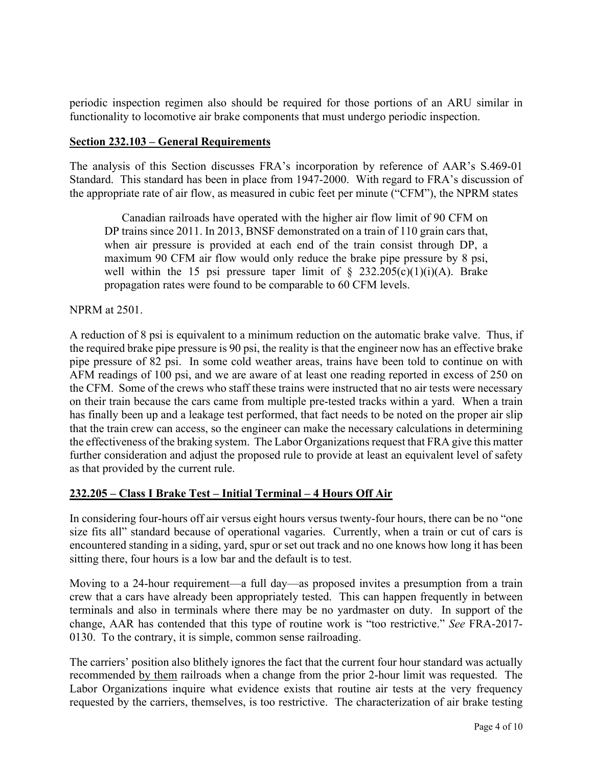periodic inspection regimen also should be required for those portions of an ARU similar in functionality to locomotive air brake components that must undergo periodic inspection.

#### **Section 232.103 – General Requirements**

The analysis of this Section discusses FRA's incorporation by reference of AAR's S.469-01 Standard. This standard has been in place from 1947-2000. With regard to FRA's discussion of the appropriate rate of air flow, as measured in cubic feet per minute ("CFM"), the NPRM states

Canadian railroads have operated with the higher air flow limit of 90 CFM on DP trains since 2011. In 2013, BNSF demonstrated on a train of 110 grain cars that, when air pressure is provided at each end of the train consist through DP, a maximum 90 CFM air flow would only reduce the brake pipe pressure by 8 psi, well within the 15 psi pressure taper limit of  $\S$  232.205(c)(1)(i)(A). Brake propagation rates were found to be comparable to 60 CFM levels.

#### NPRM at 2501.

A reduction of 8 psi is equivalent to a minimum reduction on the automatic brake valve. Thus, if the required brake pipe pressure is 90 psi, the reality is that the engineer now has an effective brake pipe pressure of 82 psi. In some cold weather areas, trains have been told to continue on with AFM readings of 100 psi, and we are aware of at least one reading reported in excess of 250 on the CFM. Some of the crews who staff these trains were instructed that no air tests were necessary on their train because the cars came from multiple pre-tested tracks within a yard. When a train has finally been up and a leakage test performed, that fact needs to be noted on the proper air slip that the train crew can access, so the engineer can make the necessary calculations in determining the effectiveness of the braking system. The Labor Organizations request that FRA give this matter further consideration and adjust the proposed rule to provide at least an equivalent level of safety as that provided by the current rule.

# **232.205 – Class I Brake Test – Initial Terminal – 4 Hours Off Air**

In considering four-hours off air versus eight hours versus twenty-four hours, there can be no "one size fits all" standard because of operational vagaries. Currently, when a train or cut of cars is encountered standing in a siding, yard, spur or set out track and no one knows how long it has been sitting there, four hours is a low bar and the default is to test.

Moving to a 24-hour requirement—a full day—as proposed invites a presumption from a train crew that a cars have already been appropriately tested. This can happen frequently in between terminals and also in terminals where there may be no yardmaster on duty. In support of the change, AAR has contended that this type of routine work is "too restrictive." *See* FRA-2017- 0130. To the contrary, it is simple, common sense railroading.

The carriers' position also blithely ignores the fact that the current four hour standard was actually recommended by them railroads when a change from the prior 2-hour limit was requested. The Labor Organizations inquire what evidence exists that routine air tests at the very frequency requested by the carriers, themselves, is too restrictive. The characterization of air brake testing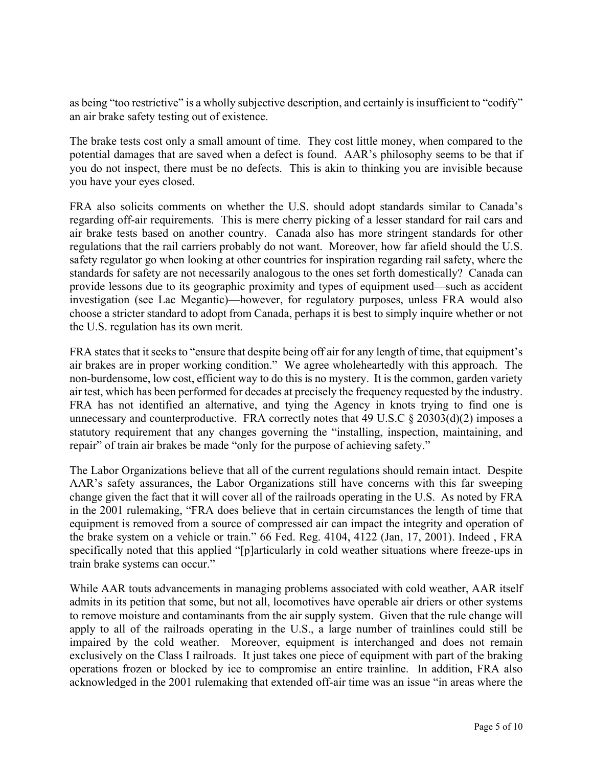as being "too restrictive" is a wholly subjective description, and certainly is insufficient to "codify" an air brake safety testing out of existence.

The brake tests cost only a small amount of time. They cost little money, when compared to the potential damages that are saved when a defect is found. AAR's philosophy seems to be that if you do not inspect, there must be no defects. This is akin to thinking you are invisible because you have your eyes closed.

FRA also solicits comments on whether the U.S. should adopt standards similar to Canada's regarding off-air requirements. This is mere cherry picking of a lesser standard for rail cars and air brake tests based on another country. Canada also has more stringent standards for other regulations that the rail carriers probably do not want. Moreover, how far afield should the U.S. safety regulator go when looking at other countries for inspiration regarding rail safety, where the standards for safety are not necessarily analogous to the ones set forth domestically? Canada can provide lessons due to its geographic proximity and types of equipment used—such as accident investigation (see Lac Megantic)—however, for regulatory purposes, unless FRA would also choose a stricter standard to adopt from Canada, perhaps it is best to simply inquire whether or not the U.S. regulation has its own merit.

FRA states that it seeks to "ensure that despite being off air for any length of time, that equipment's air brakes are in proper working condition." We agree wholeheartedly with this approach. The non-burdensome, low cost, efficient way to do this is no mystery. It is the common, garden variety air test, which has been performed for decades at precisely the frequency requested by the industry. FRA has not identified an alternative, and tying the Agency in knots trying to find one is unnecessary and counterproductive. FRA correctly notes that 49 U.S.C  $\S 20303(d)(2)$  imposes a statutory requirement that any changes governing the "installing, inspection, maintaining, and repair" of train air brakes be made "only for the purpose of achieving safety."

The Labor Organizations believe that all of the current regulations should remain intact. Despite AAR's safety assurances, the Labor Organizations still have concerns with this far sweeping change given the fact that it will cover all of the railroads operating in the U.S. As noted by FRA in the 2001 rulemaking, "FRA does believe that in certain circumstances the length of time that equipment is removed from a source of compressed air can impact the integrity and operation of the brake system on a vehicle or train." 66 Fed. Reg. 4104, 4122 (Jan, 17, 2001). Indeed , FRA specifically noted that this applied "[p]articularly in cold weather situations where freeze-ups in train brake systems can occur."

While AAR touts advancements in managing problems associated with cold weather, AAR itself admits in its petition that some, but not all, locomotives have operable air driers or other systems to remove moisture and contaminants from the air supply system. Given that the rule change will apply to all of the railroads operating in the U.S., a large number of trainlines could still be impaired by the cold weather. Moreover, equipment is interchanged and does not remain exclusively on the Class I railroads. It just takes one piece of equipment with part of the braking operations frozen or blocked by ice to compromise an entire trainline. In addition, FRA also acknowledged in the 2001 rulemaking that extended off-air time was an issue "in areas where the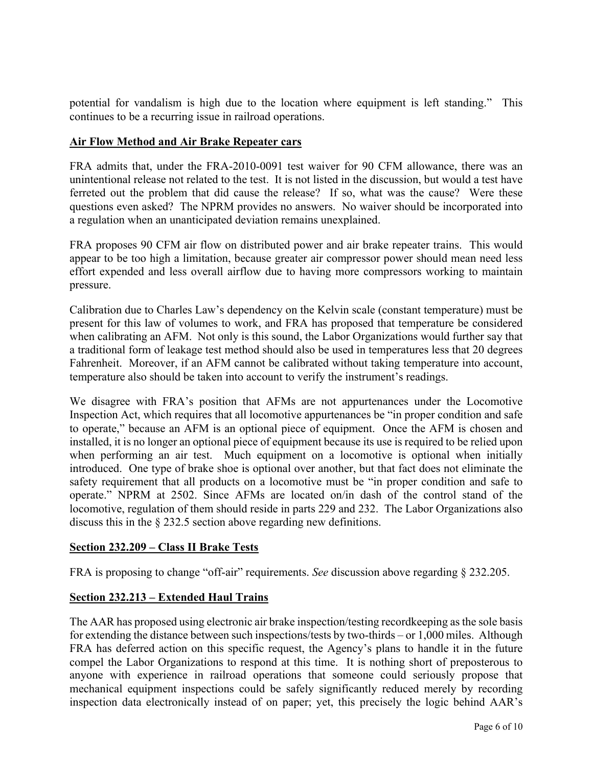potential for vandalism is high due to the location where equipment is left standing." This continues to be a recurring issue in railroad operations.

#### **Air Flow Method and Air Brake Repeater cars**

FRA admits that, under the FRA-2010-0091 test waiver for 90 CFM allowance, there was an unintentional release not related to the test. It is not listed in the discussion, but would a test have ferreted out the problem that did cause the release? If so, what was the cause? Were these questions even asked? The NPRM provides no answers. No waiver should be incorporated into a regulation when an unanticipated deviation remains unexplained.

FRA proposes 90 CFM air flow on distributed power and air brake repeater trains. This would appear to be too high a limitation, because greater air compressor power should mean need less effort expended and less overall airflow due to having more compressors working to maintain pressure.

Calibration due to Charles Law's dependency on the Kelvin scale (constant temperature) must be present for this law of volumes to work, and FRA has proposed that temperature be considered when calibrating an AFM. Not only is this sound, the Labor Organizations would further say that a traditional form of leakage test method should also be used in temperatures less that 20 degrees Fahrenheit. Moreover, if an AFM cannot be calibrated without taking temperature into account, temperature also should be taken into account to verify the instrument's readings.

We disagree with FRA's position that AFMs are not appurtenances under the Locomotive Inspection Act, which requires that all locomotive appurtenances be "in proper condition and safe to operate," because an AFM is an optional piece of equipment. Once the AFM is chosen and installed, it is no longer an optional piece of equipment because its use is required to be relied upon when performing an air test. Much equipment on a locomotive is optional when initially introduced. One type of brake shoe is optional over another, but that fact does not eliminate the safety requirement that all products on a locomotive must be "in proper condition and safe to operate." NPRM at 2502. Since AFMs are located on/in dash of the control stand of the locomotive, regulation of them should reside in parts 229 and 232. The Labor Organizations also discuss this in the § 232.5 section above regarding new definitions.

# **Section 232.209 – Class II Brake Tests**

FRA is proposing to change "off-air" requirements. *See* discussion above regarding § 232.205.

# **Section 232.213 – Extended Haul Trains**

The AAR has proposed using electronic air brake inspection/testing recordkeeping as the sole basis for extending the distance between such inspections/tests by two-thirds – or 1,000 miles. Although FRA has deferred action on this specific request, the Agency's plans to handle it in the future compel the Labor Organizations to respond at this time. It is nothing short of preposterous to anyone with experience in railroad operations that someone could seriously propose that mechanical equipment inspections could be safely significantly reduced merely by recording inspection data electronically instead of on paper; yet, this precisely the logic behind AAR's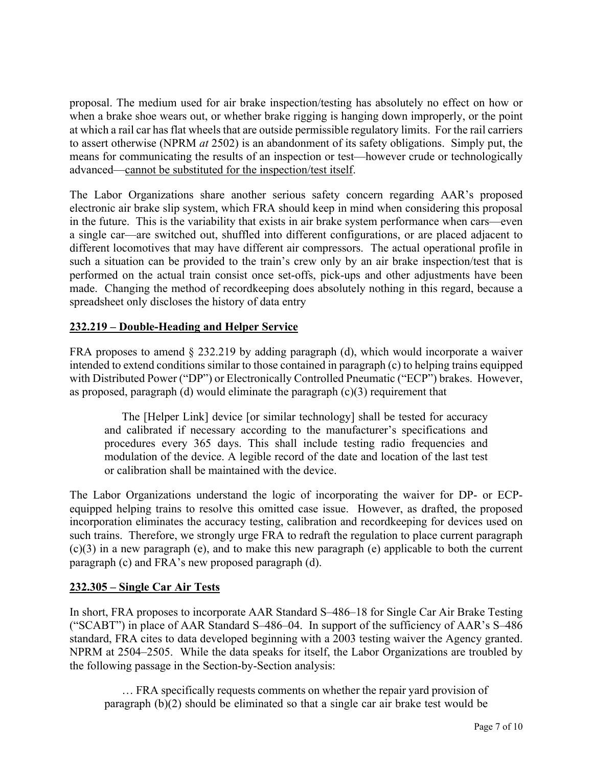proposal. The medium used for air brake inspection/testing has absolutely no effect on how or when a brake shoe wears out, or whether brake rigging is hanging down improperly, or the point at which a rail car has flat wheels that are outside permissible regulatory limits. For the rail carriers to assert otherwise (NPRM *at* 2502) is an abandonment of its safety obligations. Simply put, the means for communicating the results of an inspection or test—however crude or technologically advanced—cannot be substituted for the inspection/test itself.

The Labor Organizations share another serious safety concern regarding AAR's proposed electronic air brake slip system, which FRA should keep in mind when considering this proposal in the future. This is the variability that exists in air brake system performance when cars—even a single car—are switched out, shuffled into different configurations, or are placed adjacent to different locomotives that may have different air compressors. The actual operational profile in such a situation can be provided to the train's crew only by an air brake inspection/test that is performed on the actual train consist once set-offs, pick-ups and other adjustments have been made. Changing the method of recordkeeping does absolutely nothing in this regard, because a spreadsheet only discloses the history of data entry

# **232.219 – Double-Heading and Helper Service**

FRA proposes to amend § 232.219 by adding paragraph (d), which would incorporate a waiver intended to extend conditions similar to those contained in paragraph (c) to helping trains equipped with Distributed Power ("DP") or Electronically Controlled Pneumatic ("ECP") brakes. However, as proposed, paragraph (d) would eliminate the paragraph  $(c)(3)$  requirement that

The [Helper Link] device [or similar technology] shall be tested for accuracy and calibrated if necessary according to the manufacturer's specifications and procedures every 365 days. This shall include testing radio frequencies and modulation of the device. A legible record of the date and location of the last test or calibration shall be maintained with the device.

The Labor Organizations understand the logic of incorporating the waiver for DP- or ECPequipped helping trains to resolve this omitted case issue. However, as drafted, the proposed incorporation eliminates the accuracy testing, calibration and recordkeeping for devices used on such trains. Therefore, we strongly urge FRA to redraft the regulation to place current paragraph (c)(3) in a new paragraph (e), and to make this new paragraph (e) applicable to both the current paragraph (c) and FRA's new proposed paragraph (d).

# **232.305 – Single Car Air Tests**

In short, FRA proposes to incorporate AAR Standard S–486–18 for Single Car Air Brake Testing ("SCABT") in place of AAR Standard S–486–04. In support of the sufficiency of AAR's S–486 standard, FRA cites to data developed beginning with a 2003 testing waiver the Agency granted. NPRM at 2504–2505. While the data speaks for itself, the Labor Organizations are troubled by the following passage in the Section-by-Section analysis:

… FRA specifically requests comments on whether the repair yard provision of paragraph (b)(2) should be eliminated so that a single car air brake test would be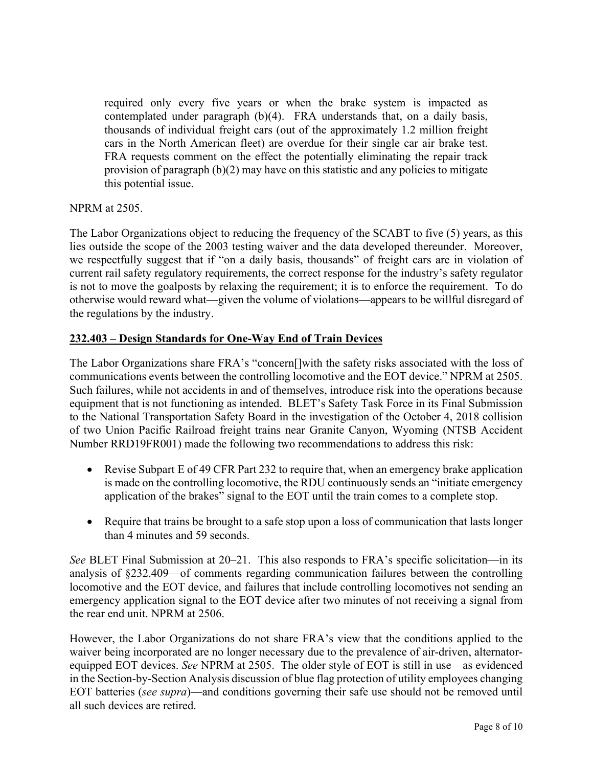required only every five years or when the brake system is impacted as contemplated under paragraph (b)(4). FRA understands that, on a daily basis, thousands of individual freight cars (out of the approximately 1.2 million freight cars in the North American fleet) are overdue for their single car air brake test. FRA requests comment on the effect the potentially eliminating the repair track provision of paragraph (b)(2) may have on this statistic and any policies to mitigate this potential issue.

#### NPRM at 2505.

The Labor Organizations object to reducing the frequency of the SCABT to five (5) years, as this lies outside the scope of the 2003 testing waiver and the data developed thereunder. Moreover, we respectfully suggest that if "on a daily basis, thousands" of freight cars are in violation of current rail safety regulatory requirements, the correct response for the industry's safety regulator is not to move the goalposts by relaxing the requirement; it is to enforce the requirement. To do otherwise would reward what—given the volume of violations—appears to be willful disregard of the regulations by the industry.

#### **232.403 – Design Standards for One-Way End of Train Devices**

The Labor Organizations share FRA's "concern[]with the safety risks associated with the loss of communications events between the controlling locomotive and the EOT device." NPRM at 2505. Such failures, while not accidents in and of themselves, introduce risk into the operations because equipment that is not functioning as intended. BLET's Safety Task Force in its Final Submission to the National Transportation Safety Board in the investigation of the October 4, 2018 collision of two Union Pacific Railroad freight trains near Granite Canyon, Wyoming (NTSB Accident Number RRD19FR001) made the following two recommendations to address this risk:

- Revise Subpart E of 49 CFR Part 232 to require that, when an emergency brake application is made on the controlling locomotive, the RDU continuously sends an "initiate emergency application of the brakes" signal to the EOT until the train comes to a complete stop.
- Require that trains be brought to a safe stop upon a loss of communication that lasts longer than 4 minutes and 59 seconds.

*See* BLET Final Submission at 20–21. This also responds to FRA's specific solicitation—in its analysis of §232.409—of comments regarding communication failures between the controlling locomotive and the EOT device, and failures that include controlling locomotives not sending an emergency application signal to the EOT device after two minutes of not receiving a signal from the rear end unit. NPRM at 2506.

However, the Labor Organizations do not share FRA's view that the conditions applied to the waiver being incorporated are no longer necessary due to the prevalence of air-driven, alternatorequipped EOT devices. *See* NPRM at 2505. The older style of EOT is still in use—as evidenced in the Section-by-Section Analysis discussion of blue flag protection of utility employees changing EOT batteries (*see supra*)—and conditions governing their safe use should not be removed until all such devices are retired.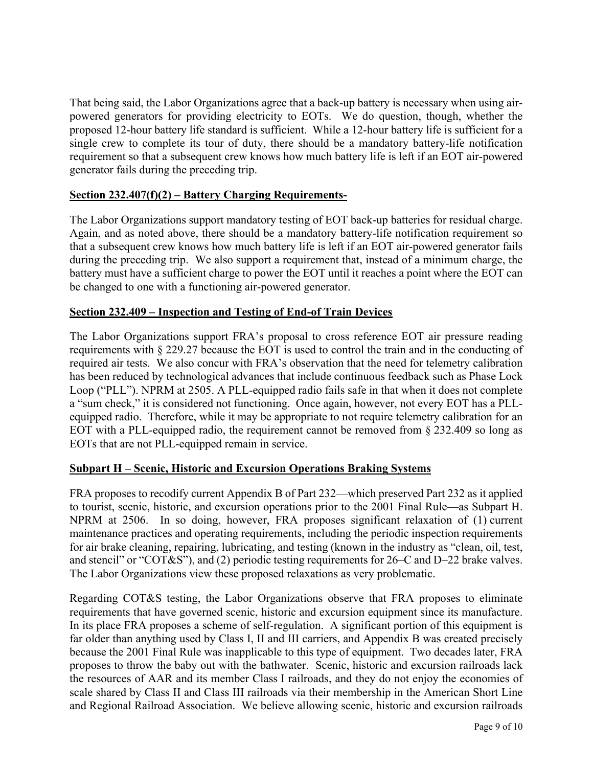That being said, the Labor Organizations agree that a back-up battery is necessary when using airpowered generators for providing electricity to EOTs. We do question, though, whether the proposed 12-hour battery life standard is sufficient. While a 12-hour battery life is sufficient for a single crew to complete its tour of duty, there should be a mandatory battery-life notification requirement so that a subsequent crew knows how much battery life is left if an EOT air-powered generator fails during the preceding trip.

# **Section 232.407(f)(2) – Battery Charging Requirements-**

The Labor Organizations support mandatory testing of EOT back-up batteries for residual charge. Again, and as noted above, there should be a mandatory battery-life notification requirement so that a subsequent crew knows how much battery life is left if an EOT air-powered generator fails during the preceding trip. We also support a requirement that, instead of a minimum charge, the battery must have a sufficient charge to power the EOT until it reaches a point where the EOT can be changed to one with a functioning air-powered generator.

#### **Section 232.409 – Inspection and Testing of End-of Train Devices**

The Labor Organizations support FRA's proposal to cross reference EOT air pressure reading requirements with § 229.27 because the EOT is used to control the train and in the conducting of required air tests. We also concur with FRA's observation that the need for telemetry calibration has been reduced by technological advances that include continuous feedback such as Phase Lock Loop ("PLL"). NPRM at 2505. A PLL-equipped radio fails safe in that when it does not complete a "sum check," it is considered not functioning. Once again, however, not every EOT has a PLLequipped radio. Therefore, while it may be appropriate to not require telemetry calibration for an EOT with a PLL-equipped radio, the requirement cannot be removed from § 232.409 so long as EOTs that are not PLL-equipped remain in service.

#### **Subpart H – Scenic, Historic and Excursion Operations Braking Systems**

FRA proposes to recodify current Appendix B of Part 232—which preserved Part 232 as it applied to tourist, scenic, historic, and excursion operations prior to the 2001 Final Rule—as Subpart H. NPRM at 2506. In so doing, however, FRA proposes significant relaxation of (1) current maintenance practices and operating requirements, including the periodic inspection requirements for air brake cleaning, repairing, lubricating, and testing (known in the industry as "clean, oil, test, and stencil" or "COT&S"), and (2) periodic testing requirements for 26–C and D–22 brake valves. The Labor Organizations view these proposed relaxations as very problematic.

Regarding COT&S testing, the Labor Organizations observe that FRA proposes to eliminate requirements that have governed scenic, historic and excursion equipment since its manufacture. In its place FRA proposes a scheme of self-regulation. A significant portion of this equipment is far older than anything used by Class I, II and III carriers, and Appendix B was created precisely because the 2001 Final Rule was inapplicable to this type of equipment. Two decades later, FRA proposes to throw the baby out with the bathwater. Scenic, historic and excursion railroads lack the resources of AAR and its member Class I railroads, and they do not enjoy the economies of scale shared by Class II and Class III railroads via their membership in the American Short Line and Regional Railroad Association. We believe allowing scenic, historic and excursion railroads